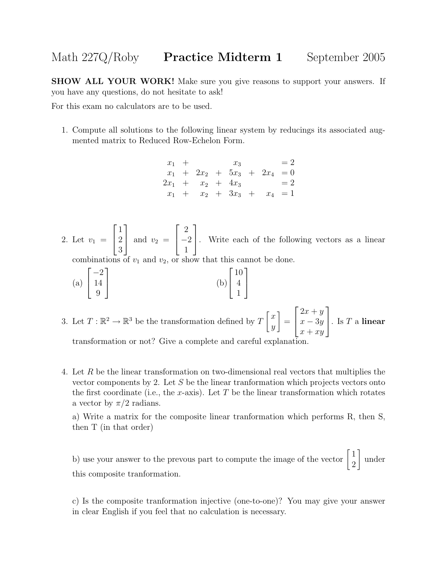## Math 227Q/Roby **Practice Midterm 1** September 2005

SHOW ALL YOUR WORK! Make sure you give reasons to support your answers. If you have any questions, do not hesitate to ask!

For this exam no calculators are to be used.

1. Compute all solutions to the following linear system by reducings its associated augmented matrix to Reduced Row-Echelon Form.

$$
\begin{array}{rcl}\nx_1 & + & x_3 & = 2 \\
x_1 & + & 2x_2 & + & 5x_3 & + & 2x_4 & = 0 \\
2x_1 & + & x_2 & + & 4x_3 & = 2 \\
x_1 & + & x_2 & + & 3x_3 & + & x_4 & = 1\n\end{array}
$$

2. Let  $v_1 =$  $\sqrt{ }$  $\overline{\phantom{a}}$ 1 2 3 1 and  $v_2 =$  $\sqrt{ }$  $\overline{\phantom{a}}$ 2 −2 1 1 . Write each of the following vectors as a linear

1

 $\overline{1}$ 

combinations of  $v_1$  and  $v_2$ , or show that this cannot be done.

- (a)  $\sqrt{ }$  $\overline{\phantom{a}}$ −2 14 9 1 (b)  $\lceil$  $\overline{1}$ 10 4 1
- 3. Let  $T: \mathbb{R}^2 \to \mathbb{R}^3$  be the transformation defined by  $T\begin{bmatrix} x \\ y \end{bmatrix}$  $\hat{y}$ 1 =  $\sqrt{ }$  $\overline{\phantom{a}}$  $2x + y$  $x - 3y$  $x + xy$ 1  $\Big\vert$ . Is T a linear

transformation or not? Give a complete and careful explanation.

4. Let R be the linear transformation on two-dimensional real vectors that multiplies the vector components by 2. Let S be the linear tranformation which projects vectors onto the first coordinate (i.e., the x-axis). Let T be the linear transformation which rotates a vector by  $\pi/2$  radians.

a) Write a matrix for the composite linear tranformation which performs R, then S, then T (in that order)

b) use your answer to the prevous part to compute the image of the vector  $\begin{bmatrix} 1 \\ 2 \end{bmatrix}$ 2 1 under this composite tranformation.

c) Is the composite tranformation injective (one-to-one)? You may give your answer in clear English if you feel that no calculation is necessary.